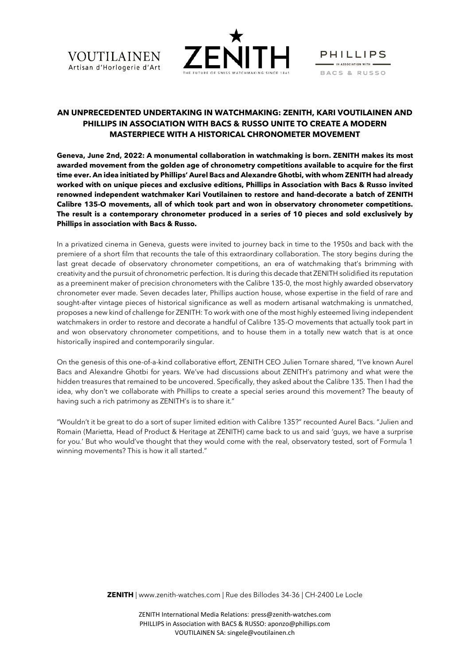



**PHILLIPS**  $\blacksquare$  IN ASSOCIATION WITH  $\blacksquare$ BACS & RUSSO

# **AN UNPRECEDENTED UNDERTAKING IN WATCHMAKING: ZENITH, KARI VOUTILAINEN AND PHILLIPS IN ASSOCIATION WITH BACS & RUSSO UNITE TO CREATE A MODERN MASTERPIECE WITH A HISTORICAL CHRONOMETER MOVEMENT**

**Geneva, June 2nd, 2022: A monumental collaboration in watchmaking is born. ZENITH makes its most awarded movement from the golden age of chronometry competitions available to acquire for the first time ever. An idea initiated by Phillips' Aurel Bacs and Alexandre Ghotbi, with whom ZENITH had already worked with on unique pieces and exclusive editions, Phillips in Association with Bacs & Russo invited renowned independent watchmaker Kari Voutilainen to restore and hand-decorate a batch of ZENITH Calibre 135-O movements, all of which took part and won in observatory chronometer competitions. The result is a contemporary chronometer produced in a series of 10 pieces and sold exclusively by Phillips in association with Bacs & Russo.**

In a privatized cinema in Geneva, guests were invited to journey back in time to the 1950s and back with the premiere of a short film that recounts the tale of this extraordinary collaboration. The story begins during the last great decade of observatory chronometer competitions, an era of watchmaking that's brimming with creativity and the pursuit of chronometric perfection. It is during this decade that ZENITH solidified its reputation as a preeminent maker of precision chronometers with the Calibre 135-0, the most highly awarded observatory chronometer ever made. Seven decades later, Phillips auction house, whose expertise in the field of rare and sought-after vintage pieces of historical significance as well as modern artisanal watchmaking is unmatched, proposes a new kind of challenge for ZENITH: To work with one of the most highly esteemed living independent watchmakers in order to restore and decorate a handful of Calibre 135-O movements that actually took part in and won observatory chronometer competitions, and to house them in a totally new watch that is at once historically inspired and contemporarily singular.

On the genesis of this one-of-a-kind collaborative effort, ZENITH CEO Julien Tornare shared, "I've known Aurel Bacs and Alexandre Ghotbi for years. We've had discussions about ZENITH's patrimony and what were the hidden treasures that remained to be uncovered. Specifically, they asked about the Calibre 135. Then I had the idea, why don't we collaborate with Phillips to create a special series around this movement? The beauty of having such a rich patrimony as ZENITH's is to share it."

"Wouldn't it be great to do a sort of super limited edition with Calibre 135?" recounted Aurel Bacs. "Julien and Romain (Marietta, Head of Product & Heritage at ZENITH) came back to us and said *'*guys, we have a surprise for you.' But who would've thought that they would come with the real, observatory tested, sort of Formula 1 winning movements? This is how it all started."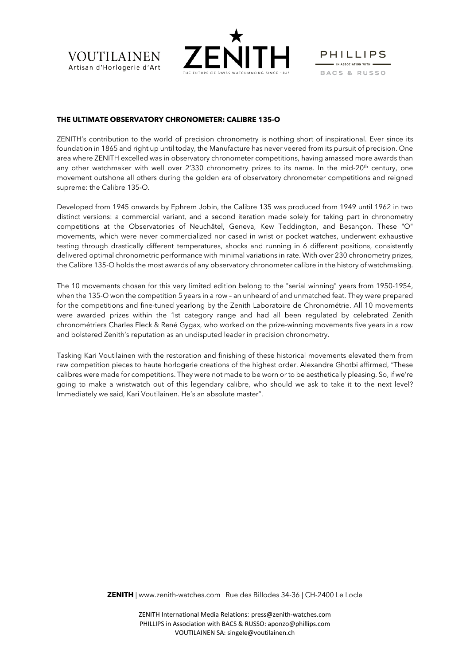





## **THE ULTIMATE OBSERVATORY CHRONOMETER: CALIBRE 135-O**

ZENITH's contribution to the world of precision chronometry is nothing short of inspirational. Ever since its foundation in 1865 and right up until today, the Manufacture has never veered from its pursuit of precision. One area where ZENITH excelled was in observatory chronometer competitions, having amassed more awards than any other watchmaker with well over 2'330 chronometry prizes to its name. In the mid-20<sup>th</sup> century, one movement outshone all others during the golden era of observatory chronometer competitions and reigned supreme: the Calibre 135-O.

Developed from 1945 onwards by Ephrem Jobin, the Calibre 135 was produced from 1949 until 1962 in two distinct versions: a commercial variant, and a second iteration made solely for taking part in chronometry competitions at the Observatories of Neuchâtel, Geneva, Kew Teddington, and Besançon. These "O" movements, which were never commercialized nor cased in wrist or pocket watches, underwent exhaustive testing through drastically different temperatures, shocks and running in 6 different positions, consistently delivered optimal chronometric performance with minimal variations in rate. With over 230 chronometry prizes, the Calibre 135-O holds the most awards of any observatory chronometer calibre in the history of watchmaking.

The 10 movements chosen for this very limited edition belong to the "serial winning" years from 1950-1954, when the 135-O won the competition 5 years in a row – an unheard of and unmatched feat. They were prepared for the competitions and fine-tuned yearlong by the Zenith Laboratoire de Chronométrie. All 10 movements were awarded prizes within the 1st category range and had all been regulated by celebrated Zenith chronométriers Charles Fleck & René Gygax, who worked on the prize-winning movements five years in a row and bolstered Zenith's reputation as an undisputed leader in precision chronometry.

Tasking Kari Voutilainen with the restoration and finishing of these historical movements elevated them from raw competition pieces to haute horlogerie creations of the highest order. Alexandre Ghotbi affirmed, "These calibres were made for competitions. They were not made to be worn or to be aesthetically pleasing. So, if we're going to make a wristwatch out of this legendary calibre, who should we ask to take it to the next level? Immediately we said, Kari Voutilainen. He's an absolute master".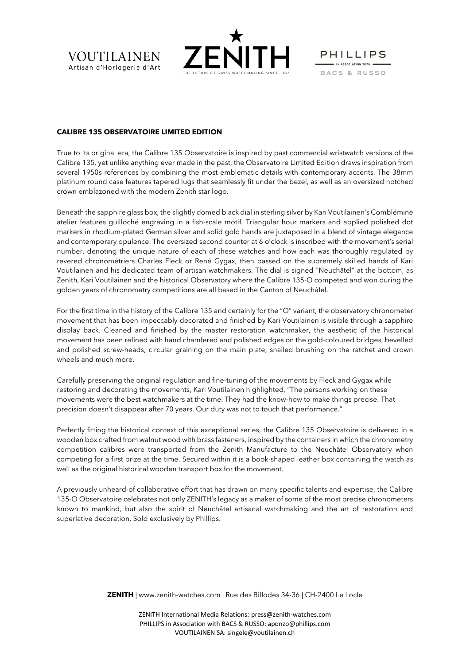



**PHILLIPS**  $\blacksquare$  IN ASSOCIATION WITH  $\blacksquare$ BACS & RUSSO

## **CALIBRE 135 OBSERVATOIRE LIMITED EDITION**

True to its original era, the Calibre 135 Observatoire is inspired by past commercial wristwatch versions of the Calibre 135, yet unlike anything ever made in the past, the Observatoire Limited Edition draws inspiration from several 1950s references by combining the most emblematic details with contemporary accents. The 38mm platinum round case features tapered lugs that seamlessly fit under the bezel, as well as an oversized notched crown emblazoned with the modern Zenith star logo.

Beneath the sapphire glass box, the slightly domed black dial in sterling silver by Kari Voutilainen's Comblémine atelier features guilloché engraving in a fish-scale motif. Triangular hour markers and applied polished dot markers in rhodium-plated German silver and solid gold hands are juxtaposed in a blend of vintage elegance and contemporary opulence. The oversized second counter at 6 o'clock is inscribed with the movement's serial number, denoting the unique nature of each of these watches and how each was thoroughly regulated by revered chronométriers Charles Fleck or René Gygax, then passed on the supremely skilled hands of Kari Voutilainen and his dedicated team of artisan watchmakers. The dial is signed "Neuchâtel" at the bottom, as Zenith, Kari Voutilainen and the historical Observatory where the Calibre 135-O competed and won during the golden years of chronometry competitions are all based in the Canton of Neuchâtel.

For the first time in the history of the Calibre 135 and certainly for the "O" variant, the observatory chronometer movement that has been impeccably decorated and finished by Kari Voutilainen is visible through a sapphire display back. Cleaned and finished by the master restoration watchmaker, the aesthetic of the historical movement has been refined with hand chamfered and polished edges on the gold-coloured bridges, bevelled and polished screw-heads, circular graining on the main plate, snailed brushing on the ratchet and crown wheels and much more.

Carefully preserving the original regulation and fine-tuning of the movements by Fleck and Gygax while restoring and decorating the movements, Kari Voutilainen highlighted, "The persons working on these movements were the best watchmakers at the time. They had the know-how to make things precise. That precision doesn't disappear after 70 years. Our duty was not to touch that performance."

Perfectly fitting the historical context of this exceptional series, the Calibre 135 Observatoire is delivered in a wooden box crafted from walnut wood with brass fasteners, inspired by the containers in which the chronometry competition calibres were transported from the Zenith Manufacture to the Neuchâtel Observatory when competing for a first prize at the time. Secured within it is a book-shaped leather box containing the watch as well as the original historical wooden transport box for the movement.

A previously unheard-of collaborative effort that has drawn on many specific talents and expertise, the Calibre 135-O Observatoire celebrates not only ZENITH's legacy as a maker of some of the most precise chronometers known to mankind, but also the spirit of Neuchâtel artisanal watchmaking and the art of restoration and superlative decoration. Sold exclusively by Phillips.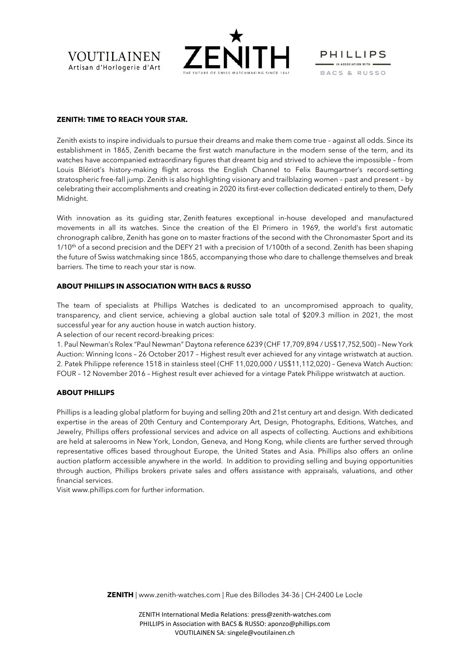**VOUTILAINEN** Artisan d'Horlogerie d'Art



**PHILLIPS**  $\blacksquare$  IN ASSOCIATION WITH  $\blacksquare$ BACS & RUSSO

# **ZENITH: TIME TO REACH YOUR STAR.**

Zenith exists to inspire individuals to pursue their dreams and make them come true – against all odds. Since its establishment in 1865, Zenith became the first watch manufacture in the modern sense of the term, and its watches have accompanied extraordinary figures that dreamt big and strived to achieve the impossible – from Louis Blériot's history-making flight across the English Channel to Felix Baumgartner's record-setting stratospheric free-fall jump. Zenith is also highlighting visionary and trailblazing women – past and present – by celebrating their accomplishments and creating in 2020 its first-ever collection dedicated entirely to them, Defy Midnight.

With innovation as its guiding star, Zenith features exceptional in-house developed and manufactured movements in all its watches. Since the creation of the El Primero in 1969, the world's first automatic chronograph calibre, Zenith has gone on to master fractions of the second with the Chronomaster Sport and its  $1/10<sup>th</sup>$  of a second precision and the DEFY 21 with a precision of 1/100th of a second. Zenith has been shaping the future of Swiss watchmaking since 1865, accompanying those who dare to challenge themselves and break barriers. The time to reach your star is now.

# **ABOUT PHILLIPS IN ASSOCIATION WITH BACS & RUSSO**

The team of specialists at Phillips Watches is dedicated to an uncompromised approach to quality, transparency, and client service, achieving a global auction sale total of \$209.3 million in 2021, the most successful year for any auction house in watch auction history.

A selection of our recent record-breaking prices:

1. Paul Newman's Rolex "Paul Newman" Daytona reference 6239 (CHF 17,709,894 / US\$17,752,500) – New York Auction: Winning Icons – 26 October 2017 – Highest result ever achieved for any vintage wristwatch at auction. 2. Patek Philippe reference 1518 in stainless steel (CHF 11,020,000 / US\$11,112,020) – Geneva Watch Auction: FOUR – 12 November 2016 – Highest result ever achieved for a vintage Patek Philippe wristwatch at auction.

## **ABOUT PHILLIPS**

Phillips is a leading global platform for buying and selling 20th and 21st century art and design. With dedicated expertise in the areas of 20th Century and Contemporary Art, Design, Photographs, Editions, Watches, and Jewelry, Phillips offers professional services and advice on all aspects of collecting. Auctions and exhibitions are held at salerooms in New York, London, Geneva, and Hong Kong, while clients are further served through representative offices based throughout Europe, the United States and Asia. Phillips also offers an online auction platform accessible anywhere in the world. In addition to providing selling and buying opportunities through auction, Phillips brokers private sales and offers assistance with appraisals, valuations, and other financial services.

Visit [www.phillips.com](https://urldefense.com/v3/__http:/www.phillips.com/__;!!Lt0KOR8!Q324Ki59Bjj6G4GqG-dOsi67Z3bXE3JPwr2dbx71bEIbu8Ig6XxW4k_oVmivL5qmvEoIVoqJSiblUsr1IndfNMA-nVM$) for further information.